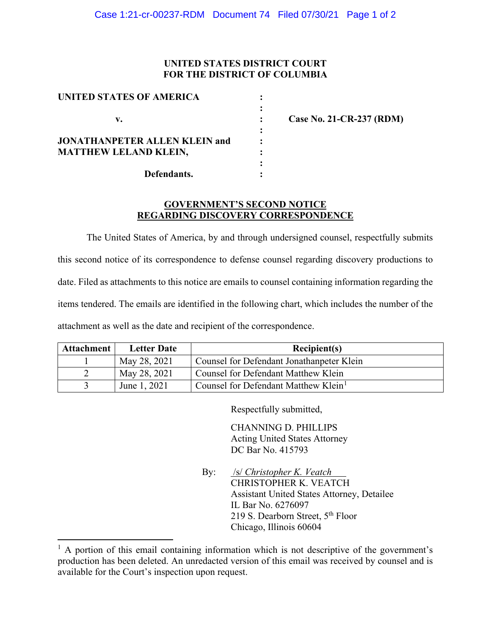## **UNITED STATES DISTRICT COURT FOR THE DISTRICT OF COLUMBIA**

| UNITED STATES OF AMERICA             |  |
|--------------------------------------|--|
|                                      |  |
| V.                                   |  |
|                                      |  |
| <b>JONATHANPETER ALLEN KLEIN and</b> |  |
| <b>MATTHEW LELAND KLEIN,</b>         |  |
|                                      |  |
| Defendants.                          |  |

**v. : Case No. 21-CR-237 (RDM)**

## **GOVERNMENT'S SECOND NOTICE REGARDING DISCOVERY CORRESPONDENCE**

The United States of America, by and through undersigned counsel, respectfully submits this second notice of its correspondence to defense counsel regarding discovery productions to date. Filed as attachments to this notice are emails to counsel containing information regarding the items tendered. The emails are identified in the following chart, which includes the number of the attachment as well as the date and recipient of the correspondence.

| Attachment | <b>Letter Date</b> | Recipient(s)                                     |
|------------|--------------------|--------------------------------------------------|
|            | May 28, 2021       | Counsel for Defendant Jonathanpeter Klein        |
|            | May 28, 2021       | Counsel for Defendant Matthew Klein              |
|            | June 1, 2021       | Counsel for Defendant Matthew Klein <sup>1</sup> |

Respectfully submitted,

CHANNING D. PHILLIPS Acting United States Attorney DC Bar No. 415793

By: /s/ *Christopher K. Veatch* CHRISTOPHER K. VEATCH Assistant United States Attorney, Detailee IL Bar No. 6276097 219 S. Dearborn Street, 5<sup>th</sup> Floor Chicago, Illinois 60604

<sup>&</sup>lt;sup>1</sup> A portion of this email containing information which is not descriptive of the government's production has been deleted. An unredacted version of this email was received by counsel and is available for the Court's inspection upon request.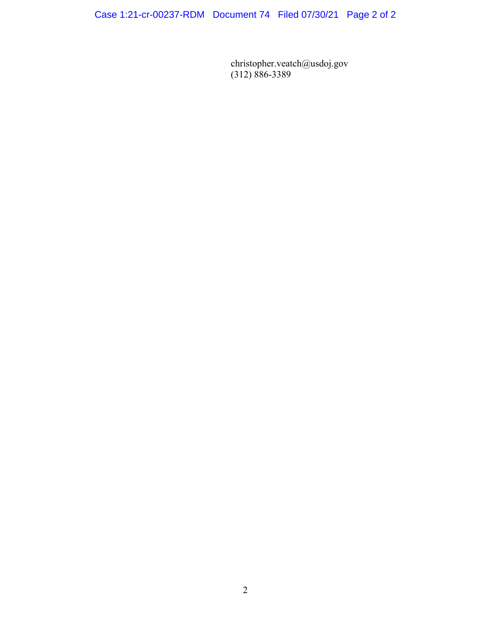Case 1:21-cr-00237-RDM Document 74 Filed 07/30/21 Page 2 of 2

christopher.veatch@usdoj.gov (312) 886-3389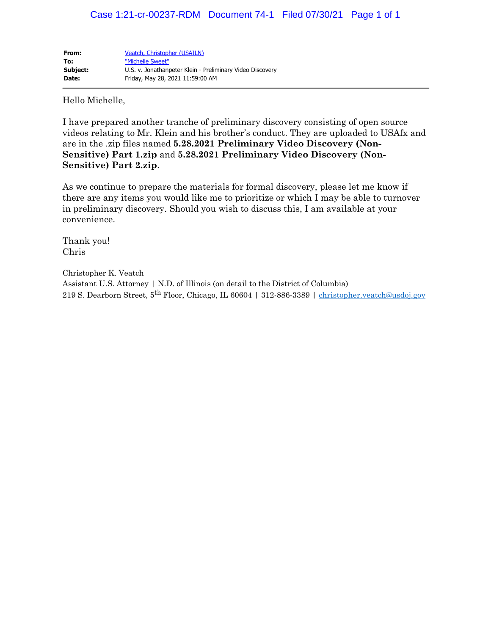| From:    | Veatch, Christopher (USAILN)                              |
|----------|-----------------------------------------------------------|
| To:      | "Michelle Sweet"                                          |
| Subject: | U.S. v. Jonathanpeter Klein - Preliminary Video Discovery |
| Date:    | Friday, May 28, 2021 11:59:00 AM                          |

Hello Michelle,

I have prepared another tranche of preliminary discovery consisting of open source videos relating to Mr. Klein and his brother's conduct. They are uploaded to USAfx and are in the .zip files named **5.28.2021 Preliminary Video Discovery (Non-Sensitive) Part 1.zip** and **5.28.2021 Preliminary Video Discovery (Non-Sensitive) Part 2.zip**.

As we continue to prepare the materials for formal discovery, please let me know if there are any items you would like me to prioritize or which I may be able to turnover in preliminary discovery. Should you wish to discuss this, I am available at your convenience.

Thank you! Chris

Christopher K. Veatch Assistant U.S. Attorney | N.D. of Illinois (on detail to the District of Columbia) 219 S. Dearborn Street, 5<sup>th</sup> Floor, Chicago, IL 60604 | 312-886-3389 | christopher.veatch@usdoj.gov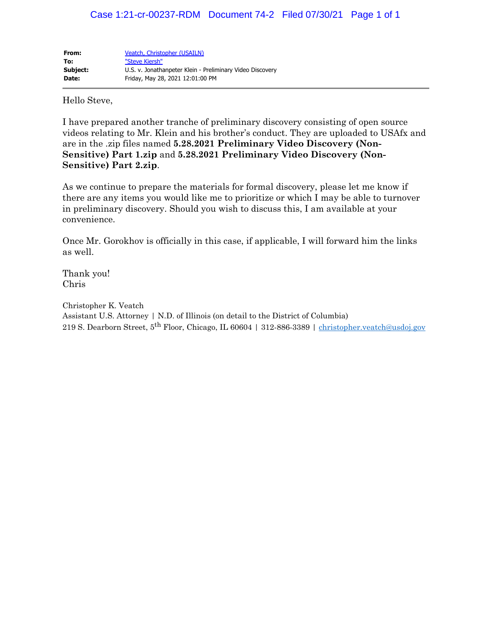| From:    | Veatch, Christopher (USAILN)                              |
|----------|-----------------------------------------------------------|
| To:      | "Steve Kiersh"                                            |
| Subject: | U.S. v. Jonathanpeter Klein - Preliminary Video Discovery |
| Date:    | Friday, May 28, 2021 12:01:00 PM                          |

Hello Steve,

I have prepared another tranche of preliminary discovery consisting of open source videos relating to Mr. Klein and his brother's conduct. They are uploaded to USAfx and are in the .zip files named **5.28.2021 Preliminary Video Discovery (Non-Sensitive) Part 1.zip** and **5.28.2021 Preliminary Video Discovery (Non-Sensitive) Part 2.zip**.

As we continue to prepare the materials for formal discovery, please let me know if there are any items you would like me to prioritize or which I may be able to turnover in preliminary discovery. Should you wish to discuss this, I am available at your convenience.

Once Mr. Gorokhov is officially in this case, if applicable, I will forward him the links as well.

Thank you! Chris

Christopher K. Veatch Assistant U.S. Attorney | N.D. of Illinois (on detail to the District of Columbia) 219 S. Dearborn Street, 5<sup>th</sup> Floor, Chicago, IL 60604 | 312-886-3389 | christopher.veatch@usdoj.gov